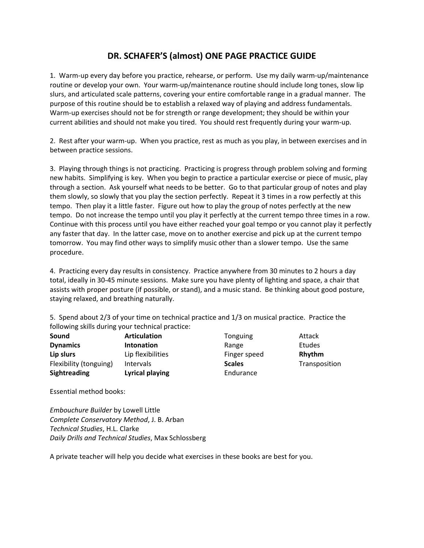## **DR. SCHAFER'S (almost) ONE PAGE PRACTICE GUIDE**

1. Warm-up every day before you practice, rehearse, or perform. Use my daily warm-up/maintenance routine or develop your own. Your warm-up/maintenance routine should include long tones, slow lip slurs, and articulated scale patterns, covering your entire comfortable range in a gradual manner. The purpose of this routine should be to establish a relaxed way of playing and address fundamentals. Warm-up exercises should not be for strength or range development; they should be within your current abilities and should not make you tired. You should rest frequently during your warm-up.

2. Rest after your warm-up. When you practice, rest as much as you play, in between exercises and in between practice sessions.

3. Playing through things is not practicing. Practicing is progress through problem solving and forming new habits. Simplifying is key. When you begin to practice a particular exercise or piece of music, play through a section. Ask yourself what needs to be better. Go to that particular group of notes and play them slowly, so slowly that you play the section perfectly. Repeat it 3 times in a row perfectly at this tempo. Then play it a little faster. Figure out how to play the group of notes perfectly at the new tempo. Do not increase the tempo until you play it perfectly at the current tempo three times in a row. Continue with this process until you have either reached your goal tempo or you cannot play it perfectly any faster that day. In the latter case, move on to another exercise and pick up at the current tempo tomorrow. You may find other ways to simplify music other than a slower tempo. Use the same procedure.

4. Practicing every day results in consistency. Practice anywhere from 30 minutes to 2 hours a day total, ideally in 30-45 minute sessions. Make sure you have plenty of lighting and space, a chair that assists with proper posture (if possible, or stand), and a music stand. Be thinking about good posture, staying relaxed, and breathing naturally.

5. Spend about 2/3 of your time on technical practice and 1/3 on musical practice. Practice the following skills during your technical practice:

| Sound                  | <b>Articulation</b> | Tonguing      | Attack        |
|------------------------|---------------------|---------------|---------------|
| <b>Dynamics</b>        | Intonation          | Range         | <b>Etudes</b> |
| Lip slurs              | Lip flexibilities   | Finger speed  | Rhythm        |
| Flexibility (tonguing) | <b>Intervals</b>    | <b>Scales</b> | Transposition |
| <b>Sightreading</b>    | Lyrical playing     | Endurance     |               |

Essential method books:

*Embouchure Builder* by Lowell Little *Complete Conservatory Method*, J. B. Arban *Technical Studies*, H.L. Clarke *Daily Drills and Technical Studies*, Max Schlossberg

A private teacher will help you decide what exercises in these books are best for you.